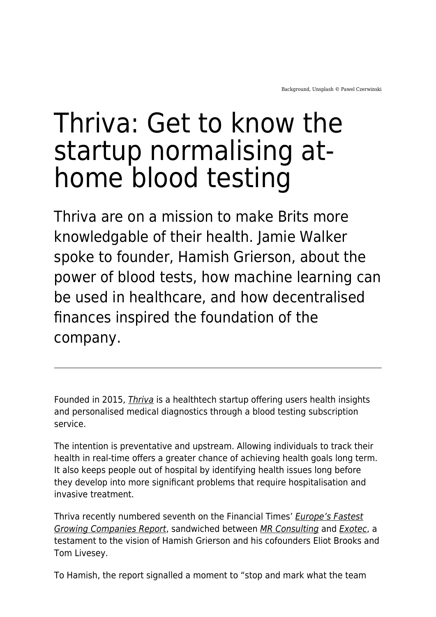# Thriva: Get to know the startup normalising athome blood testing

Thriva are on a mission to make Brits more knowledgable of their health. Jamie Walker spoke to founder, Hamish Grierson, about the power of blood tests, how machine learning can be used in healthcare, and how decentralised finances inspired the foundation of the company.

Founded in 2015, [Thriva](https://thriva.co/) is a healthtech startup offering users health insights and personalised medical diagnostics through a blood testing subscription service.

The intention is preventative and upstream. Allowing individuals to track their health in real-time offers a greater chance of achieving health goals long term. It also keeps people out of hospital by identifying health issues long before they develop into more significant problems that require hospitalisation and invasive treatment.

Thriva recently numbered seventh on the Financial Times' [Europe's Fastest](https://www.ft.com/ft1000-2022) [Growing Companies Report](https://www.ft.com/ft1000-2022), sandwiched between [MR Consulting](https://mrc-herford.de/) and [Exotec](https://www.exotec.com/en/home/), a testament to the vision of Hamish Grierson and his cofounders Eliot Brooks and Tom Livesey.

To Hamish, the report signalled a moment to "stop and mark what the team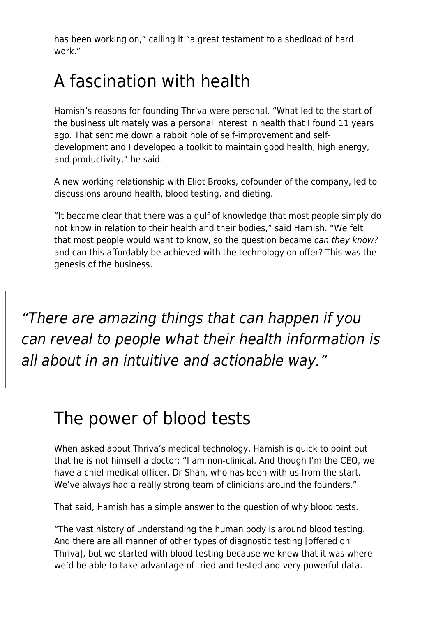has been working on," calling it "a great testament to a shedload of hard work."

# A fascination with health

Hamish's reasons for founding Thriva were personal. "What led to the start of the business ultimately was a personal interest in health that I found 11 years ago. That sent me down a rabbit hole of self-improvement and selfdevelopment and I developed a toolkit to maintain good health, high energy, and productivity," he said.

A new working relationship with Eliot Brooks, cofounder of the company, led to discussions around health, blood testing, and dieting.

"It became clear that there was a gulf of knowledge that most people simply do not know in relation to their health and their bodies," said Hamish. "We felt that most people would want to know, so the question became can they know? and can this affordably be achieved with the technology on offer? This was the genesis of the business.

"There are amazing things that can happen if you can reveal to people what their health information is all about in an intuitive and actionable way."

## The power of blood tests

When asked about Thriva's medical technology, Hamish is quick to point out that he is not himself a doctor: "I am non-clinical. And though I'm the CEO, we have a chief medical officer, Dr Shah, who has been with us from the start. We've always had a really strong team of clinicians around the founders."

That said, Hamish has a simple answer to the question of why blood tests.

"The vast history of understanding the human body is around blood testing. And there are all manner of other types of diagnostic testing [offered on Thriva], but we started with blood testing because we knew that it was where we'd be able to take advantage of tried and tested and very powerful data.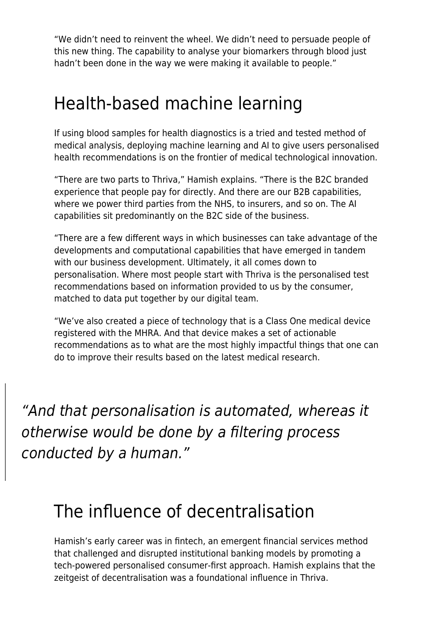"We didn't need to reinvent the wheel. We didn't need to persuade people of this new thing. The capability to analyse your biomarkers through blood just hadn't been done in the way we were making it available to people."

#### Health-based machine learning

If using blood samples for health diagnostics is a tried and tested method of medical analysis, deploying machine learning and AI to give users personalised health recommendations is on the frontier of medical technological innovation.

"There are two parts to Thriva," Hamish explains. "There is the B2C branded experience that people pay for directly. And there are our B2B capabilities, where we power third parties from the NHS, to insurers, and so on. The AI capabilities sit predominantly on the B2C side of the business.

"There are a few different ways in which businesses can take advantage of the developments and computational capabilities that have emerged in tandem with our business development. Ultimately, it all comes down to personalisation. Where most people start with Thriva is the personalised test recommendations based on information provided to us by the consumer, matched to data put together by our digital team.

"We've also created a piece of technology that is a Class One medical device registered with the MHRA. And that device makes a set of actionable recommendations as to what are the most highly impactful things that one can do to improve their results based on the latest medical research.

"And that personalisation is automated, whereas it otherwise would be done by a filtering process conducted by a human."

## The influence of decentralisation

Hamish's early career was in fintech, an emergent financial services method that challenged and disrupted institutional banking models by promoting a tech-powered personalised consumer-first approach. Hamish explains that the zeitgeist of decentralisation was a foundational influence in Thriva.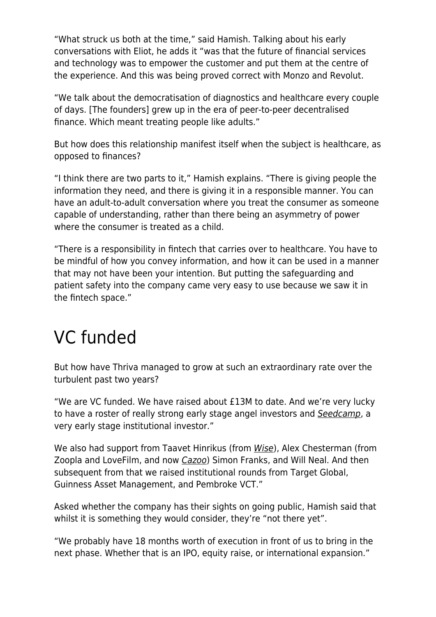"What struck us both at the time," said Hamish. Talking about his early conversations with Eliot, he adds it "was that the future of financial services and technology was to empower the customer and put them at the centre of the experience. And this was being proved correct with Monzo and Revolut.

"We talk about the democratisation of diagnostics and healthcare every couple of days. [The founders] grew up in the era of peer-to-peer decentralised finance. Which meant treating people like adults."

But how does this relationship manifest itself when the subject is healthcare, as opposed to finances?

"I think there are two parts to it," Hamish explains. "There is giving people the information they need, and there is giving it in a responsible manner. You can have an adult-to-adult conversation where you treat the consumer as someone capable of understanding, rather than there being an asymmetry of power where the consumer is treated as a child.

"There is a responsibility in fintech that carries over to healthcare. You have to be mindful of how you convey information, and how it can be used in a manner that may not have been your intention. But putting the safeguarding and patient safety into the company came very easy to use because we saw it in the fintech space."

#### VC funded

But how have Thriva managed to grow at such an extraordinary rate over the turbulent past two years?

"We are VC funded. We have raised about £13M to date. And we're very lucky to have a roster of really strong early stage angel investors and [Seedcamp](https://seedcamp.com/), a very early stage institutional investor."

We also had support from Taavet Hinrikus (from [Wise](https://wise.com/)), Alex Chesterman (from Zoopla and LoveFilm, and now [Cazoo](https://www.cazoo.co.uk/)) Simon Franks, and Will Neal. And then subsequent from that we raised institutional rounds from Target Global, Guinness Asset Management, and Pembroke VCT."

Asked whether the company has their sights on going public, Hamish said that whilst it is something they would consider, they're "not there yet".

"We probably have 18 months worth of execution in front of us to bring in the next phase. Whether that is an IPO, equity raise, or international expansion."